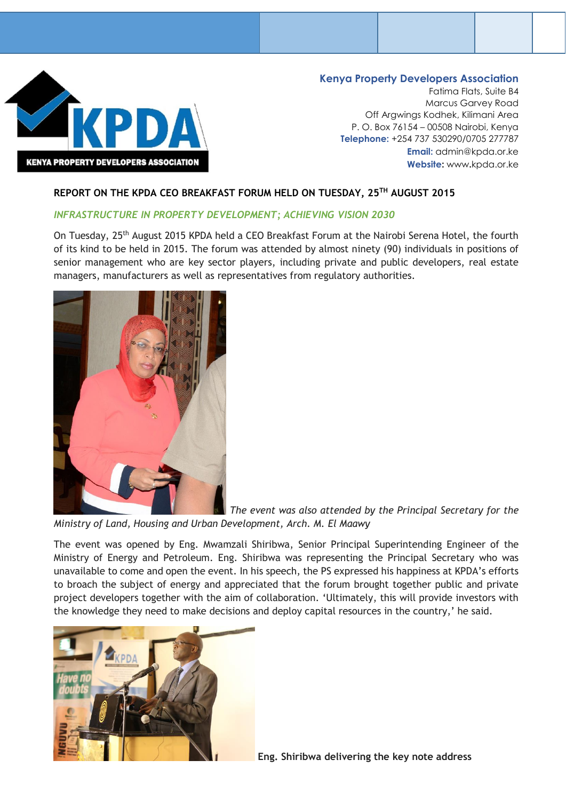

## **Kenya Property Developers Association**

Fatima Flats, Suite B4 Marcus Garvey Road Off Argwings Kodhek, Kilimani Area P. O. Box 76154 – 00508 Nairobi, Kenya **Telephone:** +254 737 530290/0705 277787 **Email:** [admin@kpda.or.ke](mailto:admin@kpda.or.ke) **Website:** www**.**[kpda.or.ke](http://www.kpda.or.ke/)

#### **REPORT ON THE KPDA CEO BREAKFAST FORUM HELD ON TUESDAY, 25TH AUGUST 2015**

#### *INFRASTRUCTURE IN PROPERTY DEVELOPMENT; ACHIEVING VISION 2030*

On Tuesday, 25<sup>th</sup> August 2015 KPDA held a CEO Breakfast Forum at the Nairobi Serena Hotel, the fourth of its kind to be held in 2015. The forum was attended by almost ninety (90) individuals in positions of senior management who are key sector players, including private and public developers, real estate managers, manufacturers as well as representatives from regulatory authorities.



*The event was also attended by the Principal Secretary for the Ministry of Land, Housing and Urban Development, Arch. M. El Maawy*

The event was opened by Eng. Mwamzali Shiribwa, Senior Principal Superintending Engineer of the Ministry of Energy and Petroleum. Eng. Shiribwa was representing the Principal Secretary who was unavailable to come and open the event. In his speech, the PS expressed his happiness at KPDA's efforts to broach the subject of energy and appreciated that the forum brought together public and private project developers together with the aim of collaboration. 'Ultimately, this will provide investors with the knowledge they need to make decisions and deploy capital resources in the country,' he said.



**Eng. Shiribwa delivering the key note address**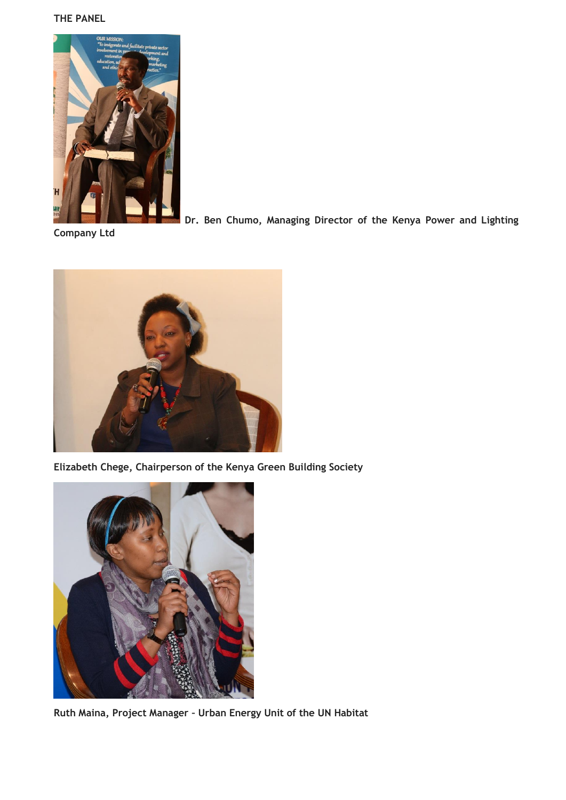#### **THE PANEL**



**Dr. Ben Chumo, Managing Director of the Kenya Power and Lighting** 

**Company Ltd**



**Elizabeth Chege, Chairperson of the Kenya Green Building Society**



**Ruth Maina, Project Manager – Urban Energy Unit of the UN Habitat**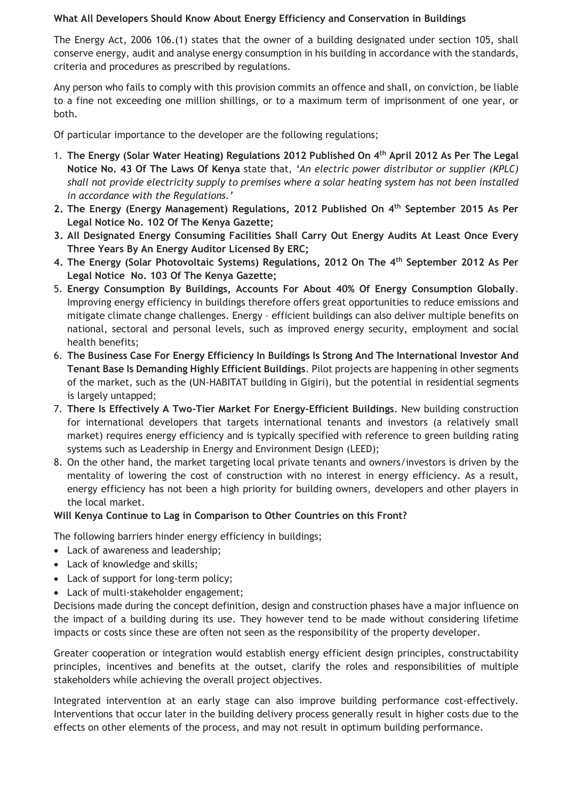## **What All Developers Should Know About Energy Efficiency and Conservation in Buildings**

The Energy Act, 2006 106.(1) states that the owner of a building designated under section 105, shall conserve energy, audit and analyse energy consumption in his building in accordance with the standards, criteria and procedures as prescribed by regulations.

Any person who fails to comply with this provision commits an offence and shall, on conviction, be liable to a fine not exceeding one million shillings, or to a maximum term of imprisonment of one year, or both.

Of particular importance to the developer are the following regulations;

- 1. **The Energy (Solar Water Heating) Regulations 2012 Published On 4th April 2012 As Per The Legal Notice No. 43 Of The Laws Of Kenya** state that, *'An electric power distributor or supplier (KPLC) shall not provide electricity supply to premises where a solar heating system has not been installed in accordance with the Regulations.'*
- **2. The Energy (Energy Management) Regulations, 2012 Published On 4th September 2015 As Per Legal Notice No. 102 Of The Kenya Gazette;**
- **3. All Designated Energy Consuming Facilities Shall Carry Out Energy Audits At Least Once Every Three Years By An Energy Auditor Licensed By ERC;**
- **4. The Energy (Solar Photovoltaic Systems) Regulations, 2012 On The 4th September 2012 As Per Legal Notice No. 103 Of The Kenya Gazette;**
- 5. **Energy Consumption By Buildings, Accounts For About 40% Of Energy Consumption Globally**. Improving energy efficiency in buildings therefore offers great opportunities to reduce emissions and mitigate climate change challenges. Energy – efficient buildings can also deliver multiple benefits on national, sectoral and personal levels, such as improved energy security, employment and social health benefits;
- 6. **The Business Case For Energy Efficiency In Buildings Is Strong And The International Investor And Tenant Base Is Demanding Highly Efficient Buildings**. Pilot projects are happening in other segments of the market, such as the (UN-HABITAT building in Gigiri), but the potential in residential segments is largely untapped;
- 7. **There Is Effectively A Two-Tier Market For Energy-Efficient Buildings**. New building construction for international developers that targets international tenants and investors (a relatively small market) requires energy efficiency and is typically specified with reference to green building rating systems such as Leadership in Energy and Environment Design (LEED);
- 8. On the other hand, the market targeting local private tenants and owners/investors is driven by the mentality of lowering the cost of construction with no interest in energy efficiency. As a result, energy efficiency has not been a high priority for building owners, developers and other players in the local market.

# **Will Kenya Continue to Lag in Comparison to Other Countries on this Front?**

The following barriers hinder energy efficiency in buildings;

- Lack of awareness and leadership;
- Lack of knowledge and skills;
- Lack of support for long-term policy;
- Lack of multi-stakeholder engagement;

Decisions made during the concept definition, design and construction phases have a major influence on the impact of a building during its use. They however tend to be made without considering lifetime impacts or costs since these are often not seen as the responsibility of the property developer.

Greater cooperation or integration would establish energy efficient design principles, constructability principles, incentives and benefits at the outset, clarify the roles and responsibilities of multiple stakeholders while achieving the overall project objectives.

Integrated intervention at an early stage can also improve building performance cost-effectively. Interventions that occur later in the building delivery process generally result in higher costs due to the effects on other elements of the process, and may not result in optimum building performance.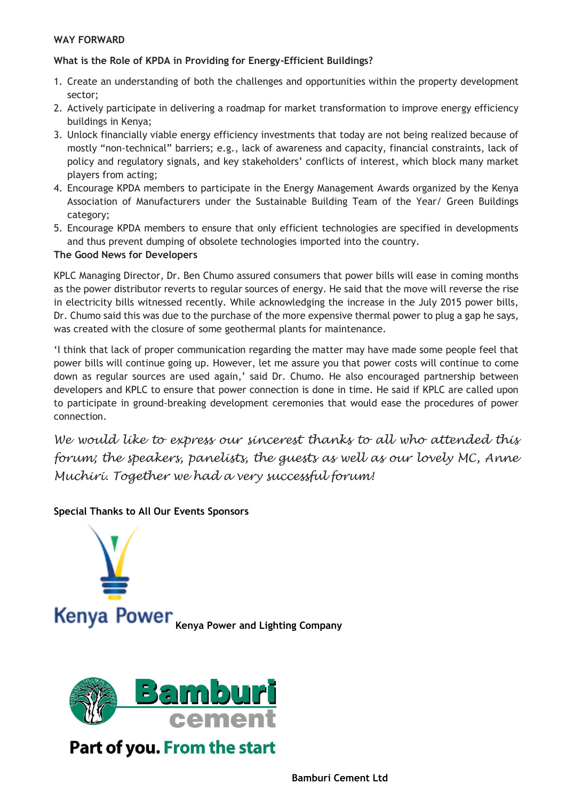## **WAY FORWARD**

## **What is the Role of KPDA in Providing for Energy-Efficient Buildings?**

- 1. Create an understanding of both the challenges and opportunities within the property development sector;
- 2. Actively participate in delivering a roadmap for market transformation to improve energy efficiency buildings in Kenya;
- 3. Unlock financially viable energy efficiency investments that today are not being realized because of mostly "non-technical" barriers; e.g., lack of awareness and capacity, financial constraints, lack of policy and regulatory signals, and key stakeholders' conflicts of interest, which block many market players from acting;
- 4. Encourage KPDA members to participate in the Energy Management Awards organized by the Kenya Association of Manufacturers under the Sustainable Building Team of the Year/ Green Buildings category;
- 5. Encourage KPDA members to ensure that only efficient technologies are specified in developments and thus prevent dumping of obsolete technologies imported into the country.

#### **The Good News for Developers**

KPLC Managing Director, Dr. Ben Chumo assured consumers that power bills will ease in coming months as the power distributor reverts to regular sources of energy. He said that the move will reverse the rise in electricity bills witnessed recently. While acknowledging the increase in the July 2015 power bills, Dr. Chumo said this was due to the purchase of the more expensive thermal power to plug a gap he says, was created with the closure of some geothermal plants for maintenance.

'I think that lack of proper communication regarding the matter may have made some people feel that power bills will continue going up. However, let me assure you that power costs will continue to come down as regular sources are used again,' said Dr. Chumo. He also encouraged partnership between developers and KPLC to ensure that power connection is done in time. He said if KPLC are called upon to participate in ground-breaking development ceremonies that would ease the procedures of power connection.

*We would like to express our sincerest thanks to all who attended this forum; the speakers, panelists, the guests as well as our lovely MC, Anne Muchiri. Together we had a very successful forum!*

## **Special Thanks to All Our Events Sponsors**





Part of you. From the start

**Bamburi Cement Ltd**